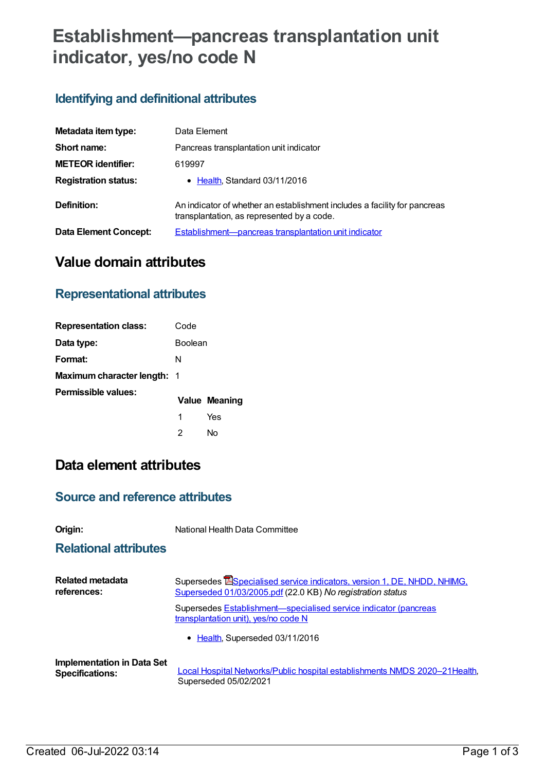# **Establishment—pancreas transplantation unit indicator, yes/no code N**

## **Identifying and definitional attributes**

| Metadata item type:         | Data Element                                                                                                            |
|-----------------------------|-------------------------------------------------------------------------------------------------------------------------|
| Short name:                 | Pancreas transplantation unit indicator                                                                                 |
| <b>METEOR</b> identifier:   | 619997                                                                                                                  |
| <b>Registration status:</b> | • Health, Standard 03/11/2016                                                                                           |
| Definition:                 | An indicator of whether an establishment includes a facility for pancreas<br>transplantation, as represented by a code. |
| Data Element Concept:       | Establishment-pancreas transplantation unit indicator                                                                   |

## **Value domain attributes**

### **Representational attributes**

| <b>Representation class:</b> | Code    |               |
|------------------------------|---------|---------------|
| Data type:                   | Boolean |               |
| Format:                      | N       |               |
| Maximum character length: 1  |         |               |
| Permissible values:          |         | Value Meaning |
|                              | 1       | Yes           |
|                              | 2       | N٥            |

# **Data element attributes**

#### **Source and reference attributes**

**Origin:** National Health Data Committee

#### **Relational attributes**

| <b>Related metadata</b>           | Supersedes ESpecialised service indicators, version 1, DE, NHDD, NHIMG,                                  |
|-----------------------------------|----------------------------------------------------------------------------------------------------------|
| references:                       | Superseded 01/03/2005.pdf (22.0 KB) No registration status                                               |
|                                   | Supersedes Establishment-specialised service indicator (pancreas<br>transplantation unit), yes/no code N |
|                                   | • Health, Superseded 03/11/2016                                                                          |
| <b>Implementation in Data Set</b> | Local Hospital Networks/Public hospital establishments NMDS 2020-21Health,                               |
| <b>Specifications:</b>            | Superseded 05/02/2021                                                                                    |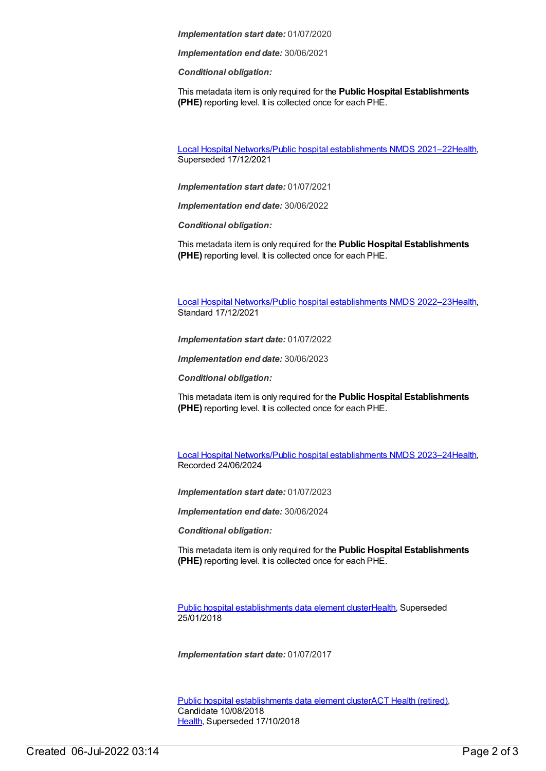*Implementation start date:* 01/07/2020

*Implementation end date:* 30/06/2021

*Conditional obligation:*

This metadata item is only required for the **Public Hospital Establishments (PHE)** reporting level. It is collected once for each PHE.

Local Hospital [Networks/Public](https://meteor.aihw.gov.au/content/727356) hospital establishments NMDS 2021–22[Health](https://meteor.aihw.gov.au/RegistrationAuthority/12), Superseded 17/12/2021

*Implementation start date:* 01/07/2021

*Implementation end date:* 30/06/2022

*Conditional obligation:*

This metadata item is only required for the **Public Hospital Establishments (PHE)** reporting level. It is collected once for each PHE.

Local Hospital [Networks/Public](https://meteor.aihw.gov.au/content/742044) hospital establishments NMDS 2022–23[Health](https://meteor.aihw.gov.au/RegistrationAuthority/12), Standard 17/12/2021

*Implementation start date:* 01/07/2022

*Implementation end date:* 30/06/2023

*Conditional obligation:*

This metadata item is only required for the **Public Hospital Establishments (PHE)** reporting level. It is collected once for each PHE.

Local Hospital [Networks/Public](https://meteor.aihw.gov.au/content/756101) hospital establishments NMDS 2023–24[Health](https://meteor.aihw.gov.au/RegistrationAuthority/12), Recorded 24/06/2024

*Implementation start date:* 01/07/2023

*Implementation end date:* 30/06/2024

*Conditional obligation:*

This metadata item is only required for the **Public Hospital Establishments (PHE)** reporting level. It is collected once for each PHE.

Public hospital [establishments](https://meteor.aihw.gov.au/content/643172) data element cluste[rHealth](https://meteor.aihw.gov.au/RegistrationAuthority/12), Superseded 25/01/2018

*Implementation start date:* 01/07/2017

Public hospital [establishments](https://meteor.aihw.gov.au/content/679217) data element clusterACT Health [\(retired\)](https://meteor.aihw.gov.au/RegistrationAuthority/9), Candidate 10/08/2018 [Health](https://meteor.aihw.gov.au/RegistrationAuthority/12), Superseded 17/10/2018